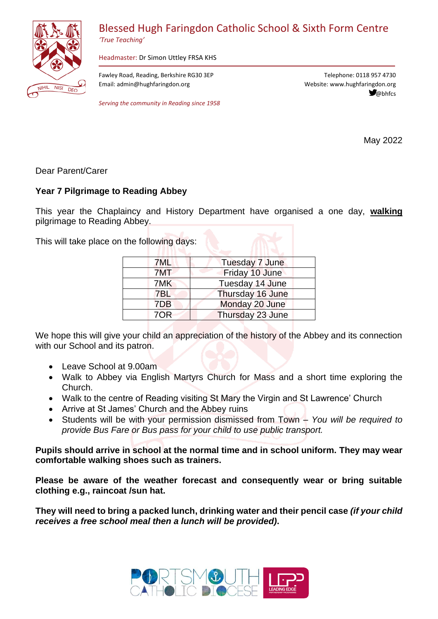

## Blessed Hugh Faringdon Catholic School & Sixth Form Centre

*'True Teaching'*

Headmaster: Dr Simon Uttley FRSA KHS

Fawley Road, Reading, Berkshire RG30 3EP Email: admin@hughfaringdon.org

*Serving the community in Reading since 1958*

Telephone: 0118 957 4730 Website: www.hughfaringdon.org <sup></sup><sup>*@*</sup>bhfcs</sup>

May 2022

Dear Parent/Carer

## **Year 7 Pilgrimage to Reading Abbey**

This year the Chaplaincy and History Department have organised a one day, **walking** pilgrimage to Reading Abbey.

This will take place on the following days:

| <b>Tuesday 7 June</b> |
|-----------------------|
| Friday 10 June        |
| Tuesday 14 June       |
| Thursday 16 June      |
| Monday 20 June        |
| Thursday 23 June      |
|                       |

We hope this will give your child an appreciation of the history of the Abbey and its connection with our School and its patron.

- Leave School at 9.00am
- Walk to Abbey via English Martyrs Church for Mass and a short time exploring the Church.
- Walk to the centre of Reading visiting St Mary the Virgin and St Lawrence' Church
- Arrive at St James' Church and the Abbey ruins
- Students will be with your permission dismissed from Town *You will be required to provide Bus Fare or Bus pass for your child to use public transport.*

**Pupils should arrive in school at the normal time and in school uniform. They may wear comfortable walking shoes such as trainers.**

**Please be aware of the weather forecast and consequently wear or bring suitable clothing e.g., raincoat /sun hat.**

**They will need to bring a packed lunch, drinking water and their pencil case** *(if your child receives a free school meal then a lunch will be provided)***.**